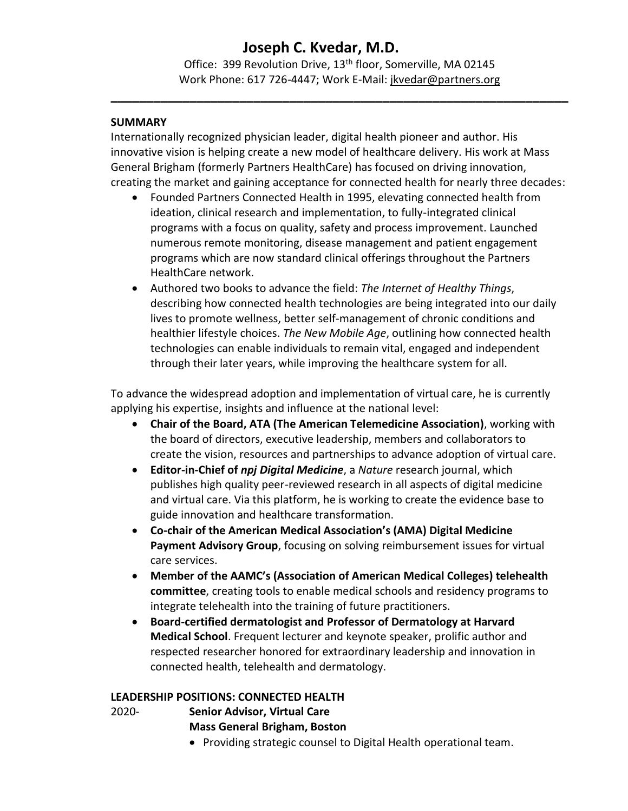# **Joseph C. Kvedar, M.D.**

Office: 399 Revolution Drive, 13<sup>th</sup> floor, Somerville, MA 02145 Work Phone: 617 726-4447; Work E-Mail: [jkvedar@partners.org](mailto:jkvedar@partners.org)

**\_\_\_\_\_\_\_\_\_\_\_\_\_\_\_\_\_\_\_\_\_\_\_\_\_\_\_\_\_\_\_\_\_\_\_\_\_\_\_\_\_\_\_\_\_\_\_\_\_\_\_\_\_\_\_\_\_\_\_\_\_\_\_\_**

### **SUMMARY**

Internationally recognized physician leader, digital health pioneer and author. His innovative vision is helping create a new model of healthcare delivery. His work at Mass General Brigham (formerly Partners HealthCare) has focused on driving innovation, creating the market and gaining acceptance for connected health for nearly three decades:

- Founded Partners Connected Health in 1995, elevating connected health from ideation, clinical research and implementation, to fully-integrated clinical programs with a focus on quality, safety and process improvement. Launched numerous remote monitoring, disease management and patient engagement programs which are now standard clinical offerings throughout the Partners HealthCare network.
- Authored two books to advance the field: *The Internet of Healthy Things*, describing how connected health technologies are being integrated into our daily lives to promote wellness, better self-management of chronic conditions and healthier lifestyle choices. *The New Mobile Age*, outlining how connected health technologies can enable individuals to remain vital, engaged and independent through their later years, while improving the healthcare system for all.

To advance the widespread adoption and implementation of virtual care, he is currently applying his expertise, insights and influence at the national level:

- **Chair of the Board, ATA (The American Telemedicine Association)**, working with the board of directors, executive leadership, members and collaborators to create the vision, resources and partnerships to advance adoption of virtual care.
- **Editor-in-Chief of** *npj Digital Medicine*, a *Nature* research journal, which publishes high quality peer-reviewed research in all aspects of digital medicine and virtual care. Via this platform, he is working to create the evidence base to guide innovation and healthcare transformation.
- **Co-chair of the American Medical Association's (AMA) Digital Medicine Payment Advisory Group**, focusing on solving reimbursement issues for virtual care services.
- **Member of the AAMC's (Association of American Medical Colleges) telehealth committee**, creating tools to enable medical schools and residency programs to integrate telehealth into the training of future practitioners.
- **Board-certified dermatologist and Professor of Dermatology at Harvard Medical School**. Frequent lecturer and keynote speaker, prolific author and respected researcher honored for extraordinary leadership and innovation in connected health, telehealth and dermatology.

### **LEADERSHIP POSITIONS: CONNECTED HEALTH**

- 2020- **Senior Advisor, Virtual Care Mass General Brigham, Boston**
	- Providing strategic counsel to Digital Health operational team.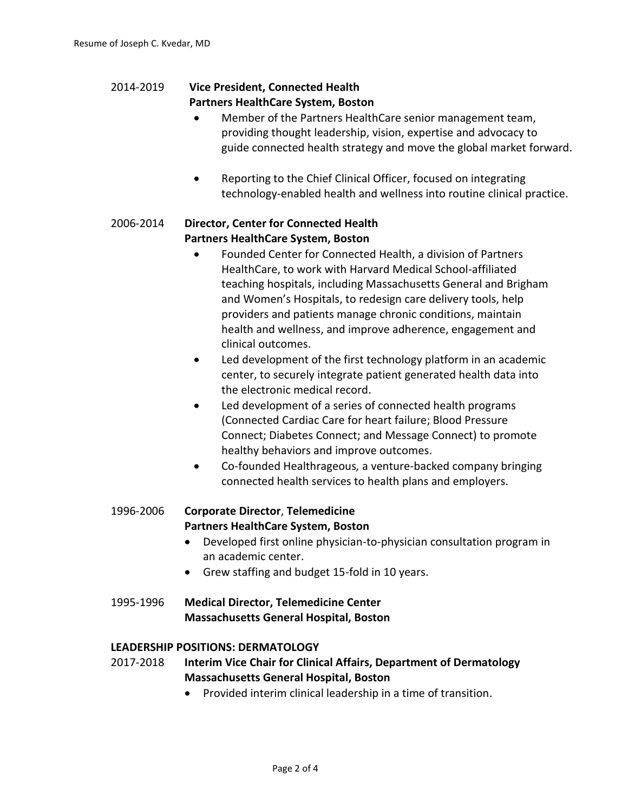### 2014-2019 **Vice President, Connected Health Partners HealthCare System, Boston**

- Member of the Partners HealthCare senior management team, providing thought leadership, vision, expertise and advocacy to guide connected health strategy and move the global market forward.
- Reporting to the Chief Clinical Officer, focused on integrating technology-enabled health and wellness into routine clinical practice.

### 2006-2014 **Director, Center for Connected Health Partners HealthCare System, Boston**

- Founded Center for Connected Health, a division of Partners HealthCare, to work with Harvard Medical School-affiliated teaching hospitals, including Massachusetts General and Brigham and Women's Hospitals, to redesign care delivery tools, help providers and patients manage chronic conditions, maintain health and wellness, and improve adherence, engagement and clinical outcomes.
- Led development of the first technology platform in an academic center, to securely integrate patient generated health data into the electronic medical record.
- Led development of a series of connected health programs (Connected Cardiac Care for heart failure; Blood Pressure Connect; Diabetes Connect; and Message Connect) to promote healthy behaviors and improve outcomes.
- Co-founded Healthrageous*,* a venture-backed company bringing connected health services to health plans and employers.

## 1996-2006 **Corporate Director**, **Telemedicine Partners HealthCare System, Boston**

- Developed first online physician-to-physician consultation program in an academic center.
- Grew staffing and budget 15-fold in 10 years.
- 1995-1996 **Medical Director, Telemedicine Center Massachusetts General Hospital, Boston**

### **LEADERSHIP POSITIONS: DERMATOLOGY**

- 2017-2018 **Interim Vice Chair for Clinical Affairs, Department of Dermatology Massachusetts General Hospital, Boston**
	- Provided interim clinical leadership in a time of transition.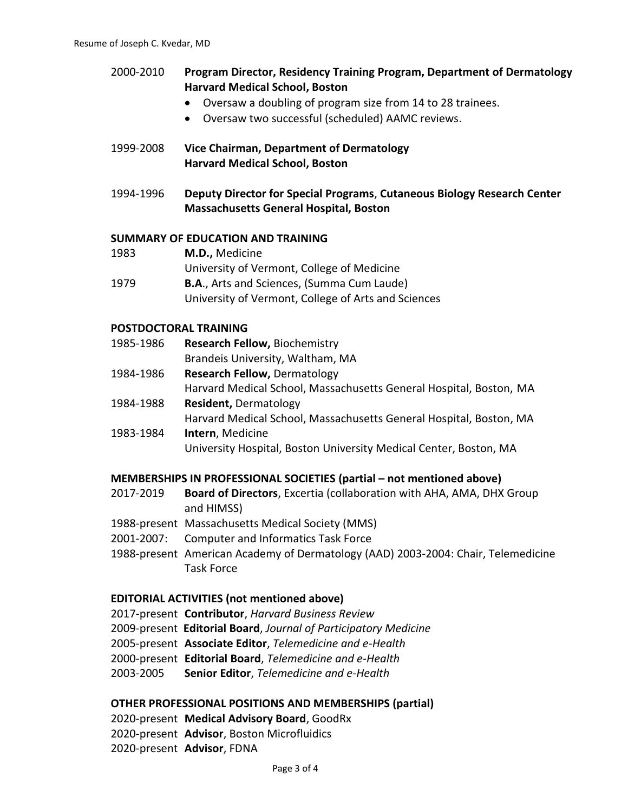| 2000-2010 | Program Director, Residency Training Program, Department of Dermatology<br><b>Harvard Medical School, Boston</b>         |
|-----------|--------------------------------------------------------------------------------------------------------------------------|
|           | Oversaw a doubling of program size from 14 to 28 trainees.                                                               |
|           | Oversaw two successful (scheduled) AAMC reviews.<br>$\bullet$                                                            |
| 1999-2008 | Vice Chairman, Department of Dermatology<br><b>Harvard Medical School, Boston</b>                                        |
| 1994-1996 | Deputy Director for Special Programs, Cutaneous Biology Research Center<br><b>Massachusetts General Hospital, Boston</b> |
|           | SUMMARY OF EDUCATION AND TRAINING                                                                                        |
| 1983      | M.D., Medicine                                                                                                           |
|           | University of Vermont, College of Medicine                                                                               |
| 1979      | B.A., Arts and Sciences, (Summa Cum Laude)                                                                               |

#### **POSTDOCTORAL TRAINING**

- 1985-1986 **Research Fellow,** Biochemistry Brandeis University, Waltham, MA
- 1984-1986 **Research Fellow,** Dermatology Harvard Medical School, Massachusetts General Hospital, Boston, MA 1984-1988 **Resident,** Dermatology

University of Vermont, College of Arts and Sciences

- Harvard Medical School, Massachusetts General Hospital, Boston, MA 1983-1984 **Intern**, Medicine
	- University Hospital, Boston University Medical Center, Boston, MA

#### **MEMBERSHIPS IN PROFESSIONAL SOCIETIES (partial – not mentioned above)**

- 2017-2019 **Board of Directors**, Excertia (collaboration with AHA, AMA, DHX Group and HIMSS)
- 1988-present Massachusetts Medical Society (MMS)
- 2001-2007: Computer and Informatics Task Force

1988-present American Academy of Dermatology (AAD) 2003-2004: Chair, Telemedicine Task Force

### **EDITORIAL ACTIVITIES (not mentioned above)**

- 2017-present **Contributor**, *Harvard Business Review*
- 2009-present **Editorial Board**, *Journal of Participatory Medicine*
- 2005-present **Associate Editor**, *Telemedicine and e-Health*
- 2000-present **Editorial Board**, *Telemedicine and e-Health*
- 2003-2005 **Senior Editor**, *Telemedicine and e-Health*

#### **OTHER PROFESSIONAL POSITIONS AND MEMBERSHIPS (partial)**

2020-present **Medical Advisory Board**, GoodRx 2020-present **Advisor**, Boston Microfluidics 2020-present **Advisor**, FDNA